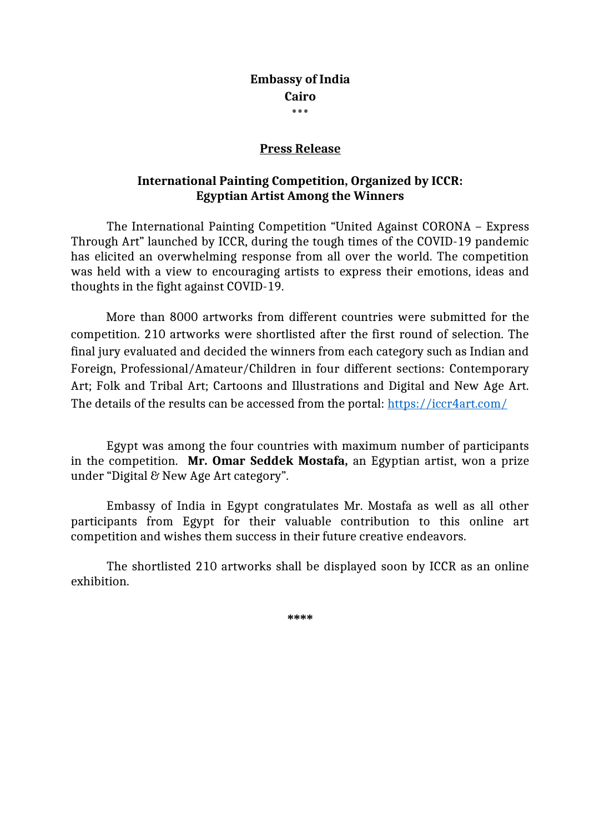### **Embassy of India Cairo \*\*\***

## **Press Release**

# **International Painting Competition, Organized by ICCR: Egyptian Artist Among the Winners**

The International Painting Competition "United Against CORONA – Express Through Art" launched by ICCR, during the tough times of the COVID-19 pandemic has elicited an overwhelming response from all over the world. The competition was held with a view to encouraging artists to express their emotions, ideas and thoughts in the fight against COVID-19.

More than 8000 artworks from different countries were submitted for the competition. 210 artworks were shortlisted after the first round of selection. The final jury evaluated and decided the winners from each category such as Indian and Foreign, Professional/Amateur/Children in four different sections: Contemporary Art; Folk and Tribal Art; Cartoons and Illustrations and Digital and New Age Art. The details of the results can be accessed from the portal: <https://iccr4art.com/>

Egypt was among the four countries with maximum number of participants in the competition. **Mr. Omar Seddek Mostafa,** an Egyptian artist, won a prize under "Digital & New Age Art category".

Embassy of India in Egypt congratulates Mr. Mostafa as well as all other participants from Egypt for their valuable contribution to this online art competition and wishes them success in their future creative endeavors.

The shortlisted 210 artworks shall be displayed soon by ICCR as an online exhibition.

**\*\*\*\***